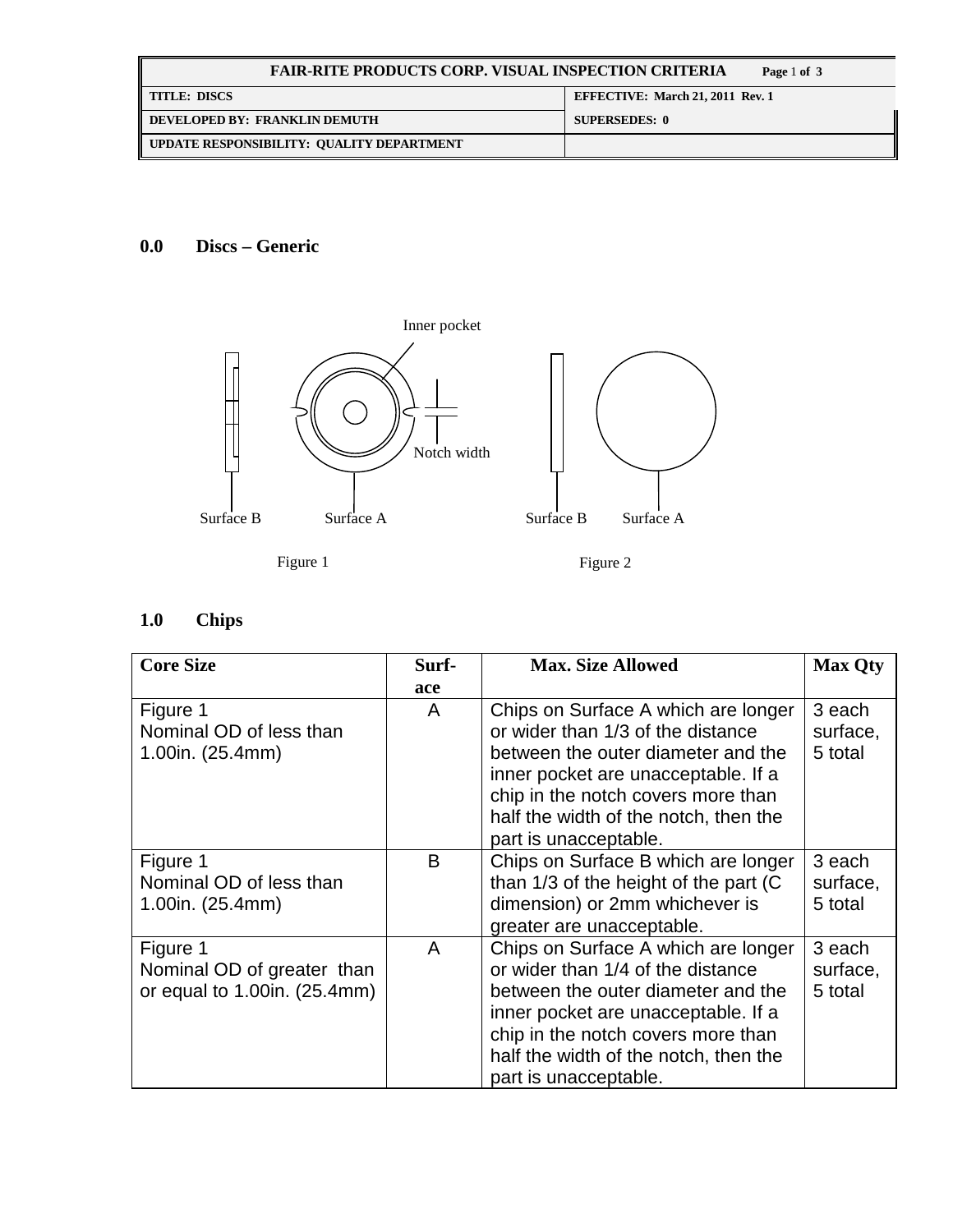| <b>FAIR-RITE PRODUCTS CORP. VISUAL INSPECTION CRITERIA</b><br>Page 1 of 3 |                                  |  |
|---------------------------------------------------------------------------|----------------------------------|--|
| <b>TITLE: DISCS</b>                                                       | EFFECTIVE: March 21, 2011 Rev. 1 |  |
| DEVELOPED BY: FRANKLIN DEMUTH                                             | <b>SUPERSEDES: 0</b>             |  |
| UPDATE RESPONSIBILITY: QUALITY DEPARTMENT                                 |                                  |  |

# **0.0 Discs – Generic**



# **1.0 Chips**

| <b>Core Size</b>             | Surf- | <b>Max. Size Allowed</b>              | <b>Max Qty</b> |
|------------------------------|-------|---------------------------------------|----------------|
|                              | ace   |                                       |                |
| Figure 1                     | A     | Chips on Surface A which are longer   | 3 each         |
| Nominal OD of less than      |       | or wider than 1/3 of the distance     | surface,       |
| 1.00in. (25.4mm)             |       | between the outer diameter and the    | 5 total        |
|                              |       | inner pocket are unacceptable. If a   |                |
|                              |       | chip in the notch covers more than    |                |
|                              |       | half the width of the notch, then the |                |
|                              |       | part is unacceptable.                 |                |
| Figure 1                     | B     | Chips on Surface B which are longer   | 3 each         |
| Nominal OD of less than      |       | than 1/3 of the height of the part (C | surface,       |
| 1.00in. (25.4mm)             |       | dimension) or 2mm whichever is        | 5 total        |
|                              |       | greater are unacceptable.             |                |
| Figure 1                     | A     | Chips on Surface A which are longer   | 3 each         |
| Nominal OD of greater than   |       | or wider than 1/4 of the distance     | surface,       |
| or equal to 1.00in. (25.4mm) |       | between the outer diameter and the    | 5 total        |
|                              |       | inner pocket are unacceptable. If a   |                |
|                              |       | chip in the notch covers more than    |                |
|                              |       | half the width of the notch, then the |                |
|                              |       | part is unacceptable.                 |                |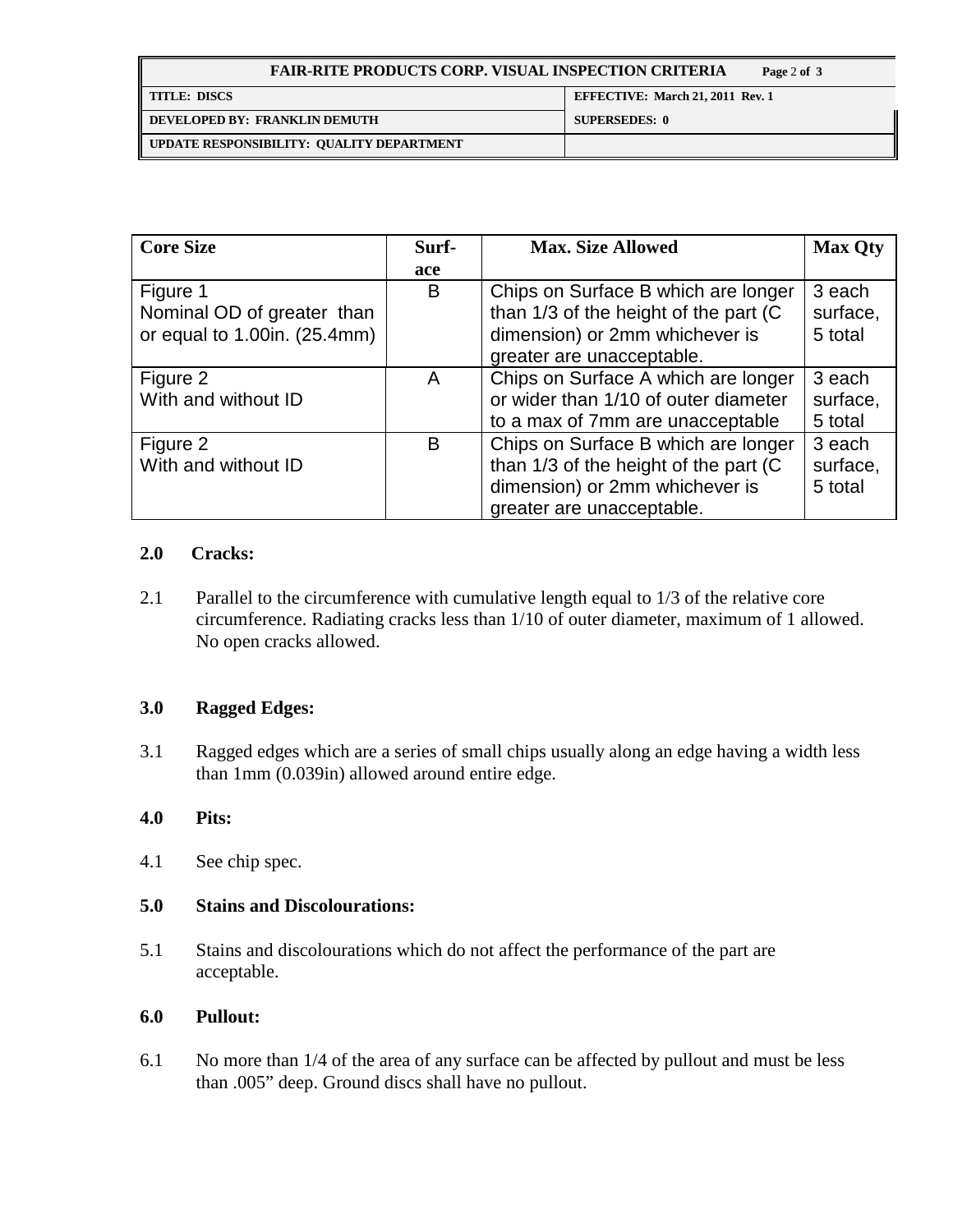| <b>FAIR-RITE PRODUCTS CORP. VISUAL INSPECTION CRITERIA</b><br>Page 2 of 3 |                                  |  |
|---------------------------------------------------------------------------|----------------------------------|--|
| TITLE: DISCS                                                              | EFFECTIVE: March 21, 2011 Rev. 1 |  |
| DEVELOPED BY: FRANKLIN DEMUTH                                             | <b>SUPERSEDES: 0</b>             |  |
| UPDATE RESPONSIBILITY: QUALITY DEPARTMENT                                 |                                  |  |

| <b>Core Size</b>             | Surf- | <b>Max. Size Allowed</b>              | <b>Max Qty</b> |
|------------------------------|-------|---------------------------------------|----------------|
|                              | ace   |                                       |                |
| Figure 1                     | B     | Chips on Surface B which are longer   | 3 each         |
| Nominal OD of greater than   |       | than 1/3 of the height of the part (C | surface,       |
| or equal to 1.00in. (25.4mm) |       | dimension) or 2mm whichever is        | 5 total        |
|                              |       | greater are unacceptable.             |                |
| Figure 2                     | A     | Chips on Surface A which are longer   | 3 each         |
| With and without ID          |       | or wider than 1/10 of outer diameter  | surface,       |
|                              |       | to a max of 7mm are unacceptable      | 5 total        |
| Figure 2                     | B     | Chips on Surface B which are longer   | 3 each         |
| With and without ID          |       | than 1/3 of the height of the part (C | surface,       |
|                              |       | dimension) or 2mm whichever is        | 5 total        |
|                              |       | greater are unacceptable.             |                |

### **2.0 Cracks:**

2.1 Parallel to the circumference with cumulative length equal to 1/3 of the relative core circumference. Radiating cracks less than 1/10 of outer diameter, maximum of 1 allowed. No open cracks allowed.

## **3.0 Ragged Edges:**

3.1 Ragged edges which are a series of small chips usually along an edge having a width less than 1mm (0.039in) allowed around entire edge.

## **4.0 Pits:**

4.1 See chip spec.

#### **5.0 Stains and Discolourations:**

5.1 Stains and discolourations which do not affect the performance of the part are acceptable.

#### **6.0 Pullout:**

6.1 No more than 1/4 of the area of any surface can be affected by pullout and must be less than .005" deep. Ground discs shall have no pullout.